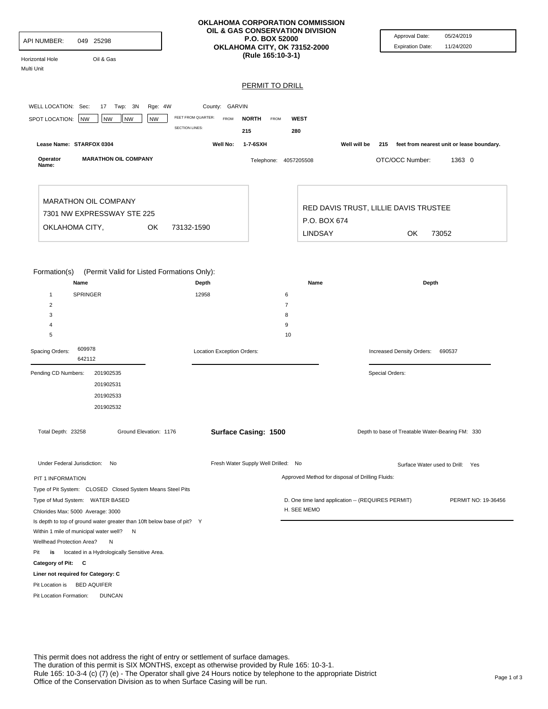| API NUMBER:<br>049 25298<br>Oil & Gas<br>Horizontal Hole<br>Multi Unit                                                                                                                                      |                                                                                                     | OKLAHOMA CORPORATION COMMISSION<br>OIL & GAS CONSERVATION DIVISION<br><b>P.O. BOX 52000</b><br>OKLAHOMA CITY, OK 73152-2000<br>(Rule 165:10-3-1) | Approval Date:<br><b>Expiration Date:</b>         | 05/24/2019<br>11/24/2020                      |
|-------------------------------------------------------------------------------------------------------------------------------------------------------------------------------------------------------------|-----------------------------------------------------------------------------------------------------|--------------------------------------------------------------------------------------------------------------------------------------------------|---------------------------------------------------|-----------------------------------------------|
|                                                                                                                                                                                                             |                                                                                                     | <b>PERMIT TO DRILL</b>                                                                                                                           |                                                   |                                               |
|                                                                                                                                                                                                             |                                                                                                     |                                                                                                                                                  |                                                   |                                               |
| WELL LOCATION: Sec:<br>17 Twp: 3N<br>Rge: 4W<br>SPOT LOCATION: NW<br><b>NW</b><br><b>NW</b><br><b>NW</b>                                                                                                    | County: GARVIN<br>FEET FROM QUARTER:<br><b>FROM</b><br><b>NORTH</b><br><b>SECTION LINES:</b><br>215 | FROM<br><b>WEST</b><br>280                                                                                                                       |                                                   |                                               |
| Lease Name: STARFOX 0304                                                                                                                                                                                    | 1-7-6SXH<br>Well No:                                                                                |                                                                                                                                                  | Well will be                                      | 215 feet from nearest unit or lease boundary. |
| Operator<br><b>MARATHON OIL COMPANY</b><br>Name:                                                                                                                                                            |                                                                                                     | Telephone: 4057205508                                                                                                                            | OTC/OCC Number:                                   | 1363 0                                        |
| <b>MARATHON OIL COMPANY</b><br>7301 NW EXPRESSWAY STE 225                                                                                                                                                   |                                                                                                     | P.O. BOX 674                                                                                                                                     | RED DAVIS TRUST, LILLIE DAVIS TRUSTEE             |                                               |
| OKLAHOMA CITY,<br>OK                                                                                                                                                                                        | 73132-1590                                                                                          | <b>LINDSAY</b>                                                                                                                                   | OK                                                | 73052                                         |
| Name<br><b>SPRINGER</b><br>$\mathbf{1}$<br>$\overline{2}$<br>3<br>4<br>5<br>609978<br>Spacing Orders:<br>642112                                                                                             | Depth<br>12958<br>Location Exception Orders:                                                        | Name<br>6<br>$\overline{7}$<br>8<br>9<br>10                                                                                                      | Depth<br>Increased Density Orders:                | 690537                                        |
| Pending CD Numbers:<br>201902535<br>201902531<br>201902533<br>201902532                                                                                                                                     |                                                                                                     |                                                                                                                                                  | Special Orders:                                   |                                               |
| Total Depth: 23258<br>Ground Elevation: 1176                                                                                                                                                                | Surface Casing: 1500                                                                                |                                                                                                                                                  | Depth to base of Treatable Water-Bearing FM: 330  |                                               |
| Under Federal Jurisdiction: No                                                                                                                                                                              | Fresh Water Supply Well Drilled: No                                                                 |                                                                                                                                                  |                                                   | Surface Water used to Drill: Yes              |
| PIT 1 INFORMATION                                                                                                                                                                                           |                                                                                                     |                                                                                                                                                  | Approved Method for disposal of Drilling Fluids:  |                                               |
| Type of Pit System: CLOSED Closed System Means Steel Pits<br>Type of Mud System: WATER BASED<br>Chlorides Max: 5000 Average: 3000<br>Is depth to top of ground water greater than 10ft below base of pit? Y |                                                                                                     | H. SEE MEMO                                                                                                                                      | D. One time land application -- (REQUIRES PERMIT) | PERMIT NO: 19-36456                           |
|                                                                                                                                                                                                             |                                                                                                     |                                                                                                                                                  |                                                   |                                               |
| Within 1 mile of municipal water well? N<br>Wellhead Protection Area?<br>N                                                                                                                                  |                                                                                                     |                                                                                                                                                  |                                                   |                                               |
| located in a Hydrologically Sensitive Area.<br>Pit<br>is                                                                                                                                                    |                                                                                                     |                                                                                                                                                  |                                                   |                                               |
| Category of Pit: C                                                                                                                                                                                          |                                                                                                     |                                                                                                                                                  |                                                   |                                               |
| Liner not required for Category: C<br>Pit Location is BED AQUIFER                                                                                                                                           |                                                                                                     |                                                                                                                                                  |                                                   |                                               |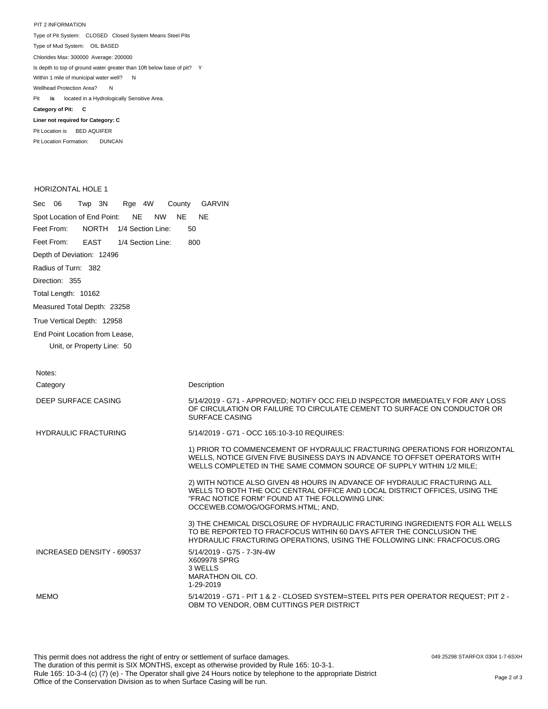PIT 2 INFORMATION Type of Pit System: CLOSED Closed System Means Steel Pits Type of Mud System: OIL BASED Pit **is** located in a Hydrologically Sensitive Area. **Category of Pit: C Liner not required for Category: C** Pit Location is BED AQUIFER Chlorides Max: 300000 Average: 200000 Is depth to top of ground water greater than 10ft below base of pit? Y Within 1 mile of municipal water well? N Wellhead Protection Area? N

Pit Location Formation: DUNCAN

## HORIZONTAL HOLE 1

| Sec 06 Twp 3N Rge 4W County GARVIN                           |  |  |  |  |  |     |  |  |
|--------------------------------------------------------------|--|--|--|--|--|-----|--|--|
| Spot Location of End Point: NE NW NE NE                      |  |  |  |  |  |     |  |  |
| Feet From: NORTH 1/4 Section Line:                           |  |  |  |  |  | 50  |  |  |
| Feet From: EAST 1/4 Section Line:                            |  |  |  |  |  | 800 |  |  |
| Depth of Deviation: 12496                                    |  |  |  |  |  |     |  |  |
| Radius of Turn: 382                                          |  |  |  |  |  |     |  |  |
| Direction: 355                                               |  |  |  |  |  |     |  |  |
| Total Length: 10162                                          |  |  |  |  |  |     |  |  |
| Measured Total Depth: 23258                                  |  |  |  |  |  |     |  |  |
| True Vertical Depth: 12958                                   |  |  |  |  |  |     |  |  |
| End Point Location from Lease.<br>Unit, or Property Line: 50 |  |  |  |  |  |     |  |  |

| Notes:                      |                                                                                                                                                                                                                                                 |
|-----------------------------|-------------------------------------------------------------------------------------------------------------------------------------------------------------------------------------------------------------------------------------------------|
| Category                    | Description                                                                                                                                                                                                                                     |
| DEEP SURFACE CASING         | 5/14/2019 - G71 - APPROVED; NOTIFY OCC FIELD INSPECTOR IMMEDIATELY FOR ANY LOSS<br>OF CIRCULATION OR FAILURE TO CIRCULATE CEMENT TO SURFACE ON CONDUCTOR OR<br>SURFACE CASING                                                                   |
| <b>HYDRAULIC FRACTURING</b> | 5/14/2019 - G71 - OCC 165:10-3-10 REQUIRES:                                                                                                                                                                                                     |
|                             | 1) PRIOR TO COMMENCEMENT OF HYDRAULIC FRACTURING OPERATIONS FOR HORIZONTAL<br>WELLS, NOTICE GIVEN FIVE BUSINESS DAYS IN ADVANCE TO OFFSET OPERATORS WITH<br>WELLS COMPLETED IN THE SAME COMMON SOURCE OF SUPPLY WITHIN 1/2 MILE;                |
|                             | 2) WITH NOTICE ALSO GIVEN 48 HOURS IN ADVANCE OF HYDRAULIC FRACTURING ALL<br>WELLS TO BOTH THE OCC CENTRAL OFFICE AND LOCAL DISTRICT OFFICES, USING THE<br>"FRAC NOTICE FORM" FOUND AT THE FOLLOWING LINK:<br>OCCEWEB.COM/OG/OGFORMS.HTML; AND, |
|                             | 3) THE CHEMICAL DISCLOSURE OF HYDRAULIC FRACTURING INGREDIENTS FOR ALL WELLS<br>TO BE REPORTED TO FRACFOCUS WITHIN 60 DAYS AFTER THE CONCLUSION THE<br>HYDRAULIC FRACTURING OPERATIONS, USING THE FOLLOWING LINK: FRACFOCUS.ORG                 |
| INCREASED DENSITY - 690537  | 5/14/2019 - G75 - 7-3N-4W<br>X609978 SPRG<br>3 WELLS<br>MARATHON OIL CO.<br>1-29-2019                                                                                                                                                           |
| <b>MEMO</b>                 | 5/14/2019 - G71 - PIT 1 & 2 - CLOSED SYSTEM=STEEL PITS PER OPERATOR REQUEST: PIT 2 -<br>OBM TO VENDOR. OBM CUTTINGS PER DISTRICT                                                                                                                |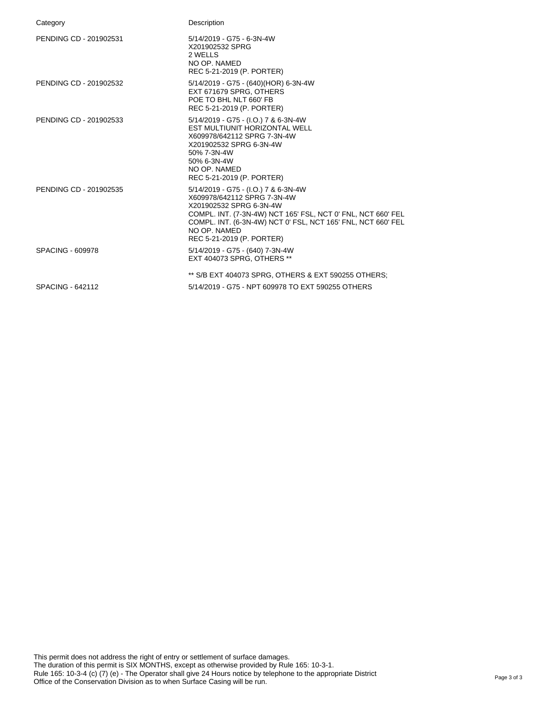| Category               | Description                                                                                                                                                                                                                                                                 |
|------------------------|-----------------------------------------------------------------------------------------------------------------------------------------------------------------------------------------------------------------------------------------------------------------------------|
| PENDING CD - 201902531 | 5/14/2019 - G75 - 6-3N-4W<br>X201902532 SPRG<br>2 WELLS<br>NO OP. NAMED<br>REC 5-21-2019 (P. PORTER)                                                                                                                                                                        |
| PENDING CD - 201902532 | 5/14/2019 - G75 - (640)(HOR) 6-3N-4W<br>EXT 671679 SPRG. OTHERS<br>POE TO BHL NLT 660' FB<br>REC 5-21-2019 (P. PORTER)                                                                                                                                                      |
| PENDING CD - 201902533 | 5/14/2019 - G75 - (I.O.) 7 & 6-3N-4W<br>EST MULTIUNIT HORIZONTAL WELL<br>X609978/642112 SPRG 7-3N-4W<br>X201902532 SPRG 6-3N-4W<br>50% 7-3N-4W<br>50% 6-3N-4W<br>NO OP. NAMED<br>REC 5-21-2019 (P. PORTER)                                                                  |
| PENDING CD - 201902535 | 5/14/2019 - G75 - (I.O.) 7 & 6-3N-4W<br>X609978/642112 SPRG 7-3N-4W<br>X201902532 SPRG 6-3N-4W<br>COMPL. INT. (7-3N-4W) NCT 165' FSL, NCT 0' FNL, NCT 660' FEL<br>COMPL. INT. (6-3N-4W) NCT 0' FSL, NCT 165' FNL, NCT 660' FEL<br>NO OP. NAMED<br>REC 5-21-2019 (P. PORTER) |
| SPACING - 609978       | 5/14/2019 - G75 - (640) 7-3N-4W<br>EXT 404073 SPRG. OTHERS **                                                                                                                                                                                                               |
|                        | ** S/B EXT 404073 SPRG, OTHERS & EXT 590255 OTHERS;                                                                                                                                                                                                                         |
| SPACING - 642112       | 5/14/2019 - G75 - NPT 609978 TO EXT 590255 OTHERS                                                                                                                                                                                                                           |